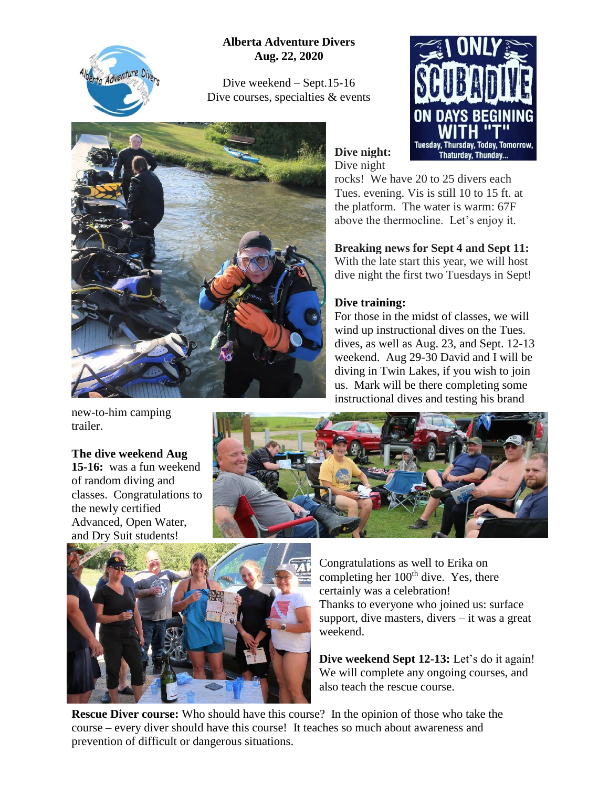

**Alberta Adventure Divers Aug. 22, 2020**

Dive weekend – Sept.15-16 Dive courses, specialties & events



**S BEGIN** Tuesday, Thursday, Today, Tomorrow, **Thaturday, Thunday...** 

**Dive night:** Dive night

rocks! We have 20 to 25 divers each Tues. evening. Vis is still 10 to 15 ft. at the platform. The water is warm: 67F above the thermocline. Let's enjoy it.

**Breaking news for Sept 4 and Sept 11:** With the late start this year, we will host dive night the first two Tuesdays in Sept!

## **Dive training:**

For those in the midst of classes, we will wind up instructional dives on the Tues. dives, as well as Aug. 23, and Sept. 12-13 weekend. Aug 29-30 David and I will be diving in Twin Lakes, if you wish to join us. Mark will be there completing some instructional dives and testing his brand

new-to-him camping trailer.

## **The dive weekend Aug**

**15-16:** was a fun weekend of random diving and classes. Congratulations to the newly certified Advanced, Open Water, and Dry Suit students!





Congratulations as well to Erika on completing her  $100<sup>th</sup>$  dive. Yes, there certainly was a celebration! Thanks to everyone who joined us: surface support, dive masters, divers  $-$  it was a great weekend.

**Dive weekend Sept 12-13:** Let's do it again! We will complete any ongoing courses, and also teach the rescue course.

**Rescue Diver course:** Who should have this course? In the opinion of those who take the course – every diver should have this course! It teaches so much about awareness and prevention of difficult or dangerous situations.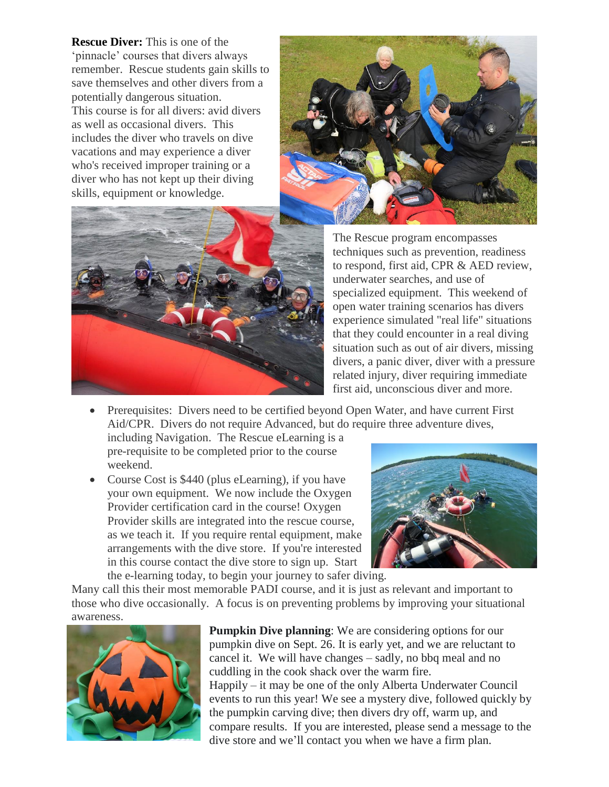**Rescue Diver:** This is one of the 'pinnacle' courses that divers always remember. Rescue students gain skills to save themselves and other divers from a potentially dangerous situation. This course is for all divers: avid divers as well as occasional divers. This includes the diver who travels on dive vacations and may experience a diver who's received improper training or a diver who has not kept up their diving skills, equipment or knowledge.





The Rescue program encompasses techniques such as prevention, readiness to respond, first aid, CPR & AED review, underwater searches, and use of specialized equipment. This weekend of open water training scenarios has divers experience simulated "real life" situations that they could encounter in a real diving situation such as out of air divers, missing divers, a panic diver, diver with a pressure related injury, diver requiring immediate first aid, unconscious diver and more.

- Prerequisites: Divers need to be certified beyond Open Water, and have current First Aid/CPR. Divers do not require Advanced, but do require three adventure dives, including Navigation. The Rescue eLearning is a pre-requisite to be completed prior to the course weekend.
- Course Cost is \$440 (plus eLearning), if you have your own equipment. We now include the Oxygen Provider certification card in the course! Oxygen Provider skills are integrated into the rescue course, as we teach it. If you require rental equipment, make arrangements with the dive store. If you're interested in this course contact the dive store to sign up. Start the e-learning today, to begin your journey to safer diving.



Many call this their most memorable PADI course, and it is just as relevant and important to those who dive occasionally. A focus is on preventing problems by improving your situational awareness.



**Pumpkin Dive planning**: We are considering options for our pumpkin dive on Sept. 26. It is early yet, and we are reluctant to cancel it. We will have changes – sadly, no bbq meal and no cuddling in the cook shack over the warm fire. Happily – it may be one of the only Alberta Underwater Council events to run this year! We see a mystery dive, followed quickly by the pumpkin carving dive; then divers dry off, warm up, and compare results. If you are interested, please send a message to the dive store and we'll contact you when we have a firm plan.